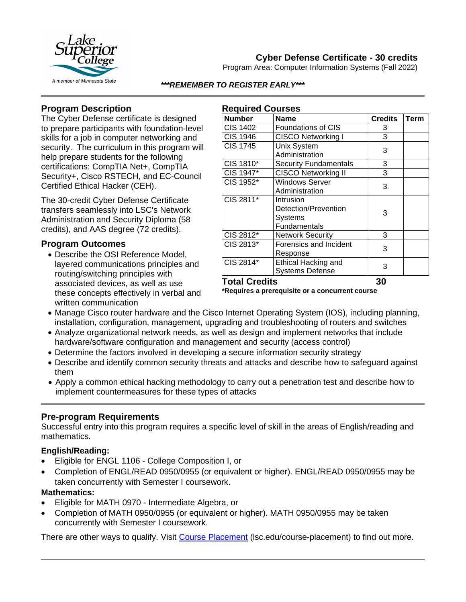

## **Cyber Defense Certificate - 30 credits**

Program Area: Computer Information Systems (Fall 2022)

*\*\*\*REMEMBER TO REGISTER EARLY\*\*\**

### **Program Description**

The Cyber Defense certificate is designed to prepare participants with foundation-level skills for a job in computer networking and security. The curriculum in this program will help prepare students for the following certifications: CompTIA Net+, CompTIA Security+, Cisco RSTECH, and EC-Council Certified Ethical Hacker (CEH).

The 30-credit Cyber Defense Certificate transfers seamlessly into LSC's Network Administration and Security Diploma (58 credits), and AAS degree (72 credits).

### **Program Outcomes**

• Describe the OSI Reference Model, layered communications principles and routing/switching principles with associated devices, as well as use these concepts effectively in verbal and written communication

# **Required Courses**

| <b>Number</b>        | <b>Name</b>                  | <b>Credits</b> | <b>Term</b> |
|----------------------|------------------------------|----------------|-------------|
| <b>CIS 1402</b>      | <b>Foundations of CIS</b>    | 3              |             |
| <b>CIS 1946</b>      | CISCO Networking I           | 3              |             |
| <b>CIS 1745</b>      | Unix System                  | 3              |             |
|                      | Administration               |                |             |
| CIS 1810*            | <b>Security Fundamentals</b> | 3              |             |
| CIS 1947*            | <b>CISCO Networking II</b>   | 3              |             |
| CIS 1952*            | Windows Server               | 3              |             |
|                      | Administration               |                |             |
| CIS 2811*            | Intrusion                    | 3              |             |
|                      | Detection/Prevention         |                |             |
|                      | <b>Systems</b>               |                |             |
|                      | Fundamentals                 |                |             |
| CIS 2812*            | <b>Network Security</b>      | 3              |             |
| CIS 2813*            | Forensics and Incident       | 3              |             |
|                      | Response                     |                |             |
| CIS 2814*            | Ethical Hacking and          | 3              |             |
|                      | <b>Systems Defense</b>       |                |             |
| <b>Total Credits</b> |                              | 30             |             |

**\*Requires a prerequisite or a concurrent course**

- Manage Cisco router hardware and the Cisco Internet Operating System (IOS), including planning, installation, configuration, management, upgrading and troubleshooting of routers and switches
- Analyze organizational network needs, as well as design and implement networks that include hardware/software configuration and management and security (access control)
- Determine the factors involved in developing a secure information security strategy
- Describe and identify common security threats and attacks and describe how to safeguard against them
- Apply a common ethical hacking methodology to carry out a penetration test and describe how to implement countermeasures for these types of attacks

### **Pre-program Requirements**

Successful entry into this program requires a specific level of skill in the areas of English/reading and mathematics.

### **English/Reading:**

- Eligible for ENGL 1106 College Composition I, or
- Completion of ENGL/READ 0950/0955 (or equivalent or higher). ENGL/READ 0950/0955 may be taken concurrently with Semester I coursework.

#### **Mathematics:**

- Eligible for MATH 0970 Intermediate Algebra, or
- Completion of MATH 0950/0955 (or equivalent or higher). MATH 0950/0955 may be taken concurrently with Semester I coursework.

There are other ways to qualify. Visit [Course Placement](https://www.lsc.edu/course-placement/) (lsc.edu/course-placement) to find out more.